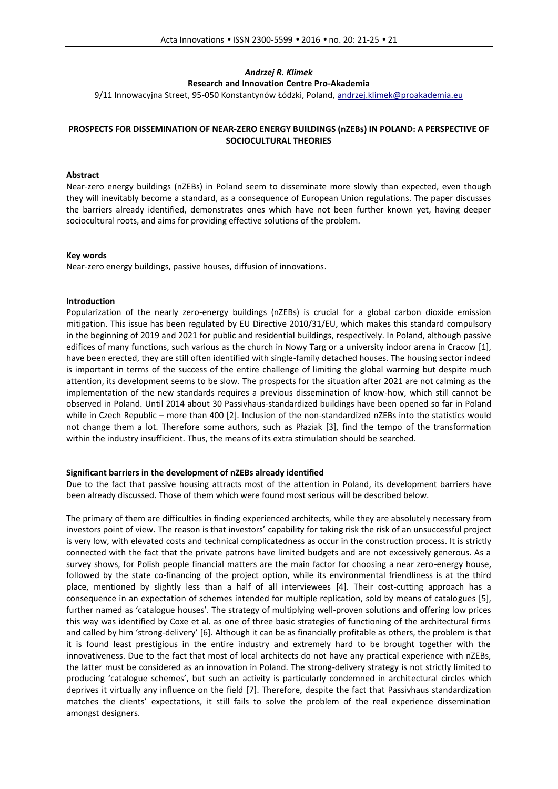# *Andrzej R. Klimek* **Research and Innovation Centre Pro-Akademia**

9/11 Innowacyjna Street, 95-050 Konstantynów Łódzki, Poland, andrzej.klimek@proakademia.eu

# **PROSPECTS FOR DISSEMINATION OF NEAR-ZERO ENERGY BUILDINGS (nZEBs) IN POLAND: A PERSPECTIVE OF SOCIOCULTURAL THEORIES**

### **Abstract**

Near-zero energy buildings (nZEBs) in Poland seem to disseminate more slowly than expected, even though they will inevitably become a standard, as a consequence of European Union regulations. The paper discusses the barriers already identified, demonstrates ones which have not been further known yet, having deeper sociocultural roots, and aims for providing effective solutions of the problem.

### **Key words**

Near-zero energy buildings, passive houses, diffusion of innovations.

### **Introduction**

Popularization of the nearly zero-energy buildings (nZEBs) is crucial for a global carbon dioxide emission mitigation. This issue has been regulated by EU Directive 2010/31/EU, which makes this standard compulsory in the beginning of 2019 and 2021 for public and residential buildings, respectively. In Poland, although passive edifices of many functions, such various as the church in Nowy Targ or a university indoor arena in Cracow [1], have been erected, they are still often identified with single-family detached houses. The housing sector indeed is important in terms of the success of the entire challenge of limiting the global warming but despite much attention, its development seems to be slow. The prospects for the situation after 2021 are not calming as the implementation of the new standards requires a previous dissemination of know-how, which still cannot be observed in Poland. Until 2014 about 30 Passivhaus-standardized buildings have been opened so far in Poland while in Czech Republic – more than 400 [2]. Inclusion of the non-standardized nZEBs into the statistics would not change them a lot. Therefore some authors, such as Płaziak [3], find the tempo of the transformation within the industry insufficient. Thus, the means of its extra stimulation should be searched.

#### **Significant barriers in the development of nZEBs already identified**

Due to the fact that passive housing attracts most of the attention in Poland, its development barriers have been already discussed. Those of them which were found most serious will be described below.

The primary of them are difficulties in finding experienced architects, while they are absolutely necessary from investors point of view. The reason is that investors' capability for taking risk the risk of an unsuccessful project is very low, with elevated costs and technical complicatedness as occur in the construction process. It is strictly connected with the fact that the private patrons have limited budgets and are not excessively generous. As a survey shows, for Polish people financial matters are the main factor for choosing a near zero-energy house, followed by the state co-financing of the project option, while its environmental friendliness is at the third place, mentioned by slightly less than a half of all interviewees [4]. Their cost-cutting approach has a consequence in an expectation of schemes intended for multiple replication, sold by means of catalogues [5], further named as 'catalogue houses'. The strategy of multiplying well-proven solutions and offering low prices this way was identified by Coxe et al. as one of three basic strategies of functioning of the architectural firms and called by him 'strong-delivery' [6]. Although it can be as financially profitable as others, the problem is that it is found least prestigious in the entire industry and extremely hard to be brought together with the innovativeness. Due to the fact that most of local architects do not have any practical experience with nZEBs, the latter must be considered as an innovation in Poland. The strong-delivery strategy is not strictly limited to producing 'catalogue schemes', but such an activity is particularly condemned in architectural circles which deprives it virtually any influence on the field [7]. Therefore, despite the fact that Passivhaus standardization matches the clients' expectations, it still fails to solve the problem of the real experience dissemination amongst designers.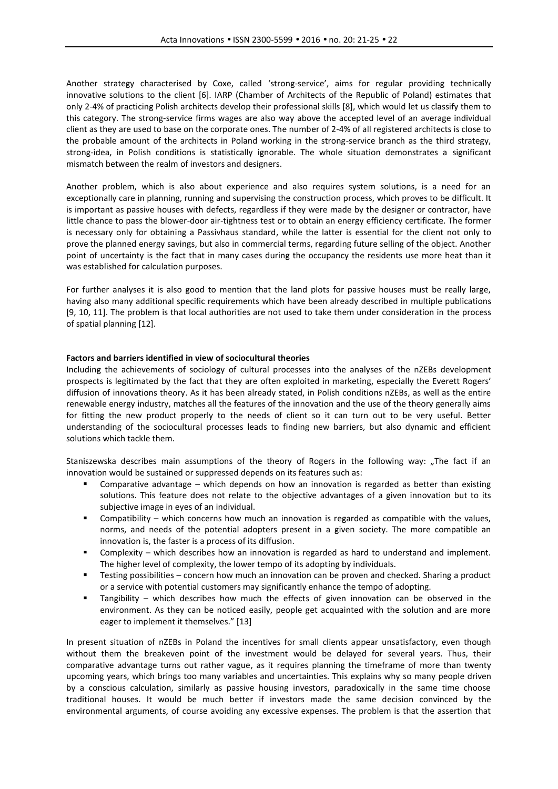Another strategy characterised by Coxe, called 'strong-service', aims for regular providing technically innovative solutions to the client [6]. IARP (Chamber of Architects of the Republic of Poland) estimates that only 2-4% of practicing Polish architects develop their professional skills [8], which would let us classify them to this category. The strong-service firms wages are also way above the accepted level of an average individual client as they are used to base on the corporate ones. The number of 2-4% of all registered architects is close to the probable amount of the architects in Poland working in the strong-service branch as the third strategy, strong-idea, in Polish conditions is statistically ignorable. The whole situation demonstrates a significant mismatch between the realm of investors and designers.

Another problem, which is also about experience and also requires system solutions, is a need for an exceptionally care in planning, running and supervising the construction process, which proves to be difficult. It is important as passive houses with defects, regardless if they were made by the designer or contractor, have little chance to pass the blower-door air-tightness test or to obtain an energy efficiency certificate. The former is necessary only for obtaining a Passivhaus standard, while the latter is essential for the client not only to prove the planned energy savings, but also in commercial terms, regarding future selling of the object. Another point of uncertainty is the fact that in many cases during the occupancy the residents use more heat than it was established for calculation purposes.

For further analyses it is also good to mention that the land plots for passive houses must be really large, having also many additional specific requirements which have been already described in multiple publications [9, 10, 11]. The problem is that local authorities are not used to take them under consideration in the process of spatial planning [12].

# **Factors and barriers identified in view of sociocultural theories**

Including the achievements of sociology of cultural processes into the analyses of the nZEBs development prospects is legitimated by the fact that they are often exploited in marketing, especially the Everett Rogers' diffusion of innovations theory. As it has been already stated, in Polish conditions nZEBs, as well as the entire renewable energy industry, matches all the features of the innovation and the use of the theory generally aims for fitting the new product properly to the needs of client so it can turn out to be very useful. Better understanding of the sociocultural processes leads to finding new barriers, but also dynamic and efficient solutions which tackle them.

Staniszewska describes main assumptions of the theory of Rogers in the following way: "The fact if an innovation would be sustained or suppressed depends on its features such as:

- Comparative advantage which depends on how an innovation is regarded as better than existing solutions. This feature does not relate to the objective advantages of a given innovation but to its subjective image in eyes of an individual.
- Compatibility which concerns how much an innovation is regarded as compatible with the values, norms, and needs of the potential adopters present in a given society. The more compatible an innovation is, the faster is a process of its diffusion.
- Complexity which describes how an innovation is regarded as hard to understand and implement. The higher level of complexity, the lower tempo of its adopting by individuals.
- Testing possibilities concern how much an innovation can be proven and checked. Sharing a product or a service with potential customers may significantly enhance the tempo of adopting.
- Tangibility which describes how much the effects of given innovation can be observed in the environment. As they can be noticed easily, people get acquainted with the solution and are more eager to implement it themselves." [13]

In present situation of nZEBs in Poland the incentives for small clients appear unsatisfactory, even though without them the breakeven point of the investment would be delayed for several years. Thus, their comparative advantage turns out rather vague, as it requires planning the timeframe of more than twenty upcoming years, which brings too many variables and uncertainties. This explains why so many people driven by a conscious calculation, similarly as passive housing investors, paradoxically in the same time choose traditional houses. It would be much better if investors made the same decision convinced by the environmental arguments, of course avoiding any excessive expenses. The problem is that the assertion that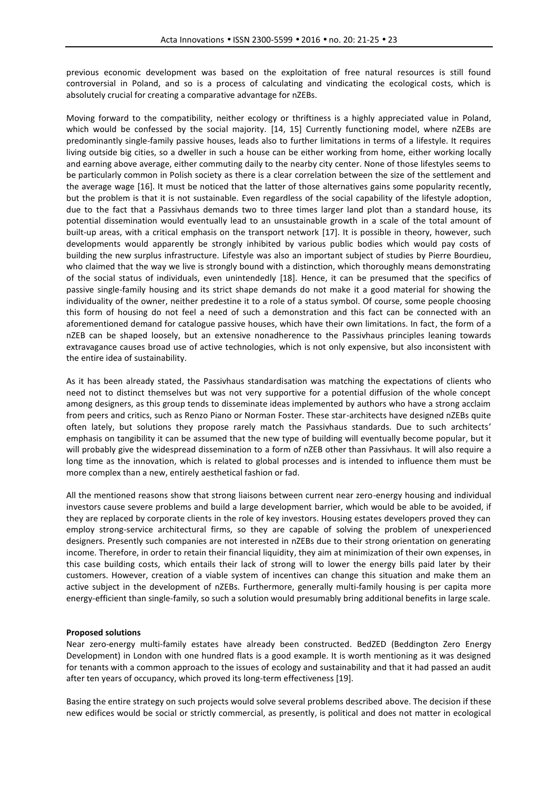previous economic development was based on the exploitation of free natural resources is still found controversial in Poland, and so is a process of calculating and vindicating the ecological costs, which is absolutely crucial for creating a comparative advantage for nZEBs.

Moving forward to the compatibility, neither ecology or thriftiness is a highly appreciated value in Poland, which would be confessed by the social majority. [14, 15] Currently functioning model, where nZEBs are predominantly single-family passive houses, leads also to further limitations in terms of a lifestyle. It requires living outside big cities, so a dweller in such a house can be either working from home, either working locally and earning above average, either commuting daily to the nearby city center. None of those lifestyles seems to be particularly common in Polish society as there is a clear correlation between the size of the settlement and the average wage [16]. It must be noticed that the latter of those alternatives gains some popularity recently, but the problem is that it is not sustainable. Even regardless of the social capability of the lifestyle adoption, due to the fact that a Passivhaus demands two to three times larger land plot than a standard house, its potential dissemination would eventually lead to an unsustainable growth in a scale of the total amount of built-up areas, with a critical emphasis on the transport network [17]. It is possible in theory, however, such developments would apparently be strongly inhibited by various public bodies which would pay costs of building the new surplus infrastructure. Lifestyle was also an important subject of studies by Pierre Bourdieu, who claimed that the way we live is strongly bound with a distinction, which thoroughly means demonstrating of the social status of individuals, even unintendedly [18]. Hence, it can be presumed that the specifics of passive single-family housing and its strict shape demands do not make it a good material for showing the individuality of the owner, neither predestine it to a role of a status symbol. Of course, some people choosing this form of housing do not feel a need of such a demonstration and this fact can be connected with an aforementioned demand for catalogue passive houses, which have their own limitations. In fact, the form of a nZEB can be shaped loosely, but an extensive nonadherence to the Passivhaus principles leaning towards extravagance causes broad use of active technologies, which is not only expensive, but also inconsistent with the entire idea of sustainability.

As it has been already stated, the Passivhaus standardisation was matching the expectations of clients who need not to distinct themselves but was not very supportive for a potential diffusion of the whole concept among designers, as this group tends to disseminate ideas implemented by authors who have a strong acclaim from peers and critics, such as Renzo Piano or Norman Foster. These star-architects have designed nZEBs quite often lately, but solutions they propose rarely match the Passivhaus standards. Due to such architects' emphasis on tangibility it can be assumed that the new type of building will eventually become popular, but it will probably give the widespread dissemination to a form of nZEB other than Passivhaus. It will also require a long time as the innovation, which is related to global processes and is intended to influence them must be more complex than a new, entirely aesthetical fashion or fad.

All the mentioned reasons show that strong liaisons between current near zero-energy housing and individual investors cause severe problems and build a large development barrier, which would be able to be avoided, if they are replaced by corporate clients in the role of key investors. Housing estates developers proved they can employ strong-service architectural firms, so they are capable of solving the problem of unexperienced designers. Presently such companies are not interested in nZEBs due to their strong orientation on generating income. Therefore, in order to retain their financial liquidity, they aim at minimization of their own expenses, in this case building costs, which entails their lack of strong will to lower the energy bills paid later by their customers. However, creation of a viable system of incentives can change this situation and make them an active subject in the development of nZEBs. Furthermore, generally multi-family housing is per capita more energy-efficient than single-family, so such a solution would presumably bring additional benefits in large scale.

#### **Proposed solutions**

Near zero-energy multi-family estates have already been constructed. BedZED (Beddington Zero Energy Development) in London with one hundred flats is a good example. It is worth mentioning as it was designed for tenants with a common approach to the issues of ecology and sustainability and that it had passed an audit after ten years of occupancy, which proved its long-term effectiveness [19].

Basing the entire strategy on such projects would solve several problems described above. The decision if these new edifices would be social or strictly commercial, as presently, is political and does not matter in ecological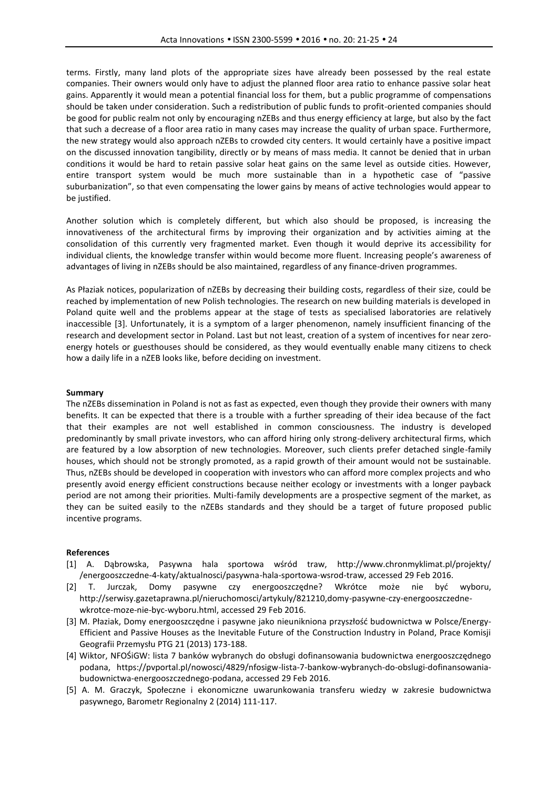terms. Firstly, many land plots of the appropriate sizes have already been possessed by the real estate companies. Their owners would only have to adjust the planned floor area ratio to enhance passive solar heat gains. Apparently it would mean a potential financial loss for them, but a public programme of compensations should be taken under consideration. Such a redistribution of public funds to profit-oriented companies should be good for public realm not only by encouraging nZEBs and thus energy efficiency at large, but also by the fact that such a decrease of a floor area ratio in many cases may increase the quality of urban space. Furthermore, the new strategy would also approach nZEBs to crowded city centers. It would certainly have a positive impact on the discussed innovation tangibility, directly or by means of mass media. It cannot be denied that in urban conditions it would be hard to retain passive solar heat gains on the same level as outside cities. However, entire transport system would be much more sustainable than in a hypothetic case of "passive suburbanization", so that even compensating the lower gains by means of active technologies would appear to be justified.

Another solution which is completely different, but which also should be proposed, is increasing the innovativeness of the architectural firms by improving their organization and by activities aiming at the consolidation of this currently very fragmented market. Even though it would deprive its accessibility for individual clients, the knowledge transfer within would become more fluent. Increasing people's awareness of advantages of living in nZEBs should be also maintained, regardless of any finance-driven programmes.

As Płaziak notices, popularization of nZEBs by decreasing their building costs, regardless of their size, could be reached by implementation of new Polish technologies. The research on new building materials is developed in Poland quite well and the problems appear at the stage of tests as specialised laboratories are relatively inaccessible [3]. Unfortunately, it is a symptom of a larger phenomenon, namely insufficient financing of the research and development sector in Poland. Last but not least, creation of a system of incentives for near zero energy hotels or guesthouses should be considered, as they would eventually enable many citizens to check how a daily life in a nZEB looks like, before deciding on investment.

## **Summary**

The nZEBs dissemination in Poland is not as fast as expected, even though they provide their owners with many benefits. It can be expected that there is a trouble with a further spreading of their idea because of the fact that their examples are not well established in common consciousness. The industry is developed predominantly by small private investors, who can afford hiring only strong-delivery architectural firms, which are featured by a low absorption of new technologies. Moreover, such clients prefer detached single-family houses, which should not be strongly promoted, as a rapid growth of their amount would not be sustainable. Thus, nZEBs should be developed in cooperation with investors who can afford more complex projects and who presently avoid energy efficient constructions because neither ecology or investments with a longer payback period are not among their priorities. Multi-family developments are a prospective segment of the market, as they can be suited easily to the nZEBs standards and they should be a target of future proposed public incentive programs.

#### **References**

- [1] A. Dąbrowska, Pasywna hala sportowa wśród traw, http://www.chronmyklimat.pl/projekty/ /energooszczedne-4-katy/aktualnosci/pasywna-hala-sportowa-wsrod-traw, accessed 29 Feb 2016.
- [2] T. Jurczak, Domy pasywne czy energooszczędne? Wkrótce może nie być wyboru, http://serwisy.gazetaprawna.pl/nieruchomosci/artykuly/821210,domy-pasywne-czy-energooszczedne wkrotce-moze-nie-byc-wyboru.html, accessed 29 Feb 2016.
- [3] M. Płaziak, Domy energooszczędne i pasywne jako nieunikniona przyszłość budownictwa w Polsce/Energy- Efficient and Passive Houses as the Inevitable Future of the Construction Industry in Poland, Prace Komisji Geografii Przemysłu PTG 21 (2013) 173-188.
- [4] Wiktor, NFOŚiGW: lista 7 banków wybranych do obsługi dofinansowania budownictwa energooszczędnego podana, https://pvportal.pl/nowosci/4829/nfosigw-lista-7-bankow-wybranych-do-obslugi-dofinansowania budownictwa-energooszczednego-podana, accessed 29 Feb 2016.
- [5] A. M. Graczyk, Społeczne i ekonomiczne uwarunkowania transferu wiedzy w zakresie budownictwa pasywnego, Barometr Regionalny 2 (2014) 111-117.